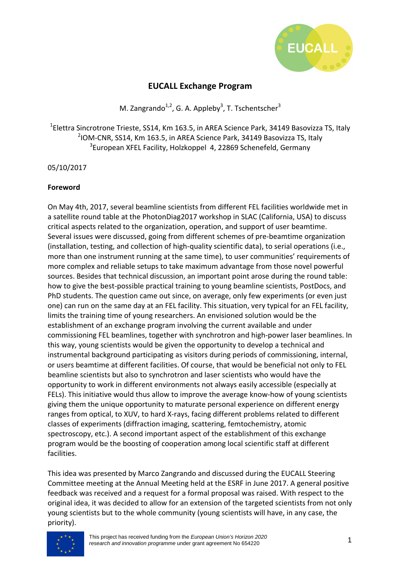

# **EUCALL Exchange Program**

M. Zangrando<sup>1,2</sup>, G. A. Appleby<sup>3</sup>, T. Tschentscher<sup>3</sup>

 $^{1}$ Elettra Sincrotrone Trieste, SS14, Km 163.5, in AREA Science Park, 34149 Basovizza TS, Italy <sup>2</sup>IOM-CNR, SS14, Km 163.5, in AREA Science Park, 34149 Basovizza TS, Italy  $3$ European XFEL Facility, Holzkoppel 4, 22869 Schenefeld, Germany

### 05/10/2017

### **Foreword**

On May 4th, 2017, several beamline scientists from different FEL facilities worldwide met in a satellite round table at the PhotonDiag2017 workshop in SLAC (California, USA) to discuss critical aspects related to the organization, operation, and support of user beamtime. Several issues were discussed, going from different schemes of pre-beamtime organization (installation, testing, and collection of high-quality scientific data), to serial operations (i.e., more than one instrument running at the same time), to user communities' requirements of more complex and reliable setups to take maximum advantage from those novel powerful sources. Besides that technical discussion, an important point arose during the round table: how to give the best-possible practical training to young beamline scientists, PostDocs, and PhD students. The question came out since, on average, only few experiments (or even just one) can run on the same day at an FEL facility. This situation, very typical for an FEL facility, limits the training time of young researchers. An envisioned solution would be the establishment of an exchange program involving the current available and under commissioning FEL beamlines, together with synchrotron and high-power laser beamlines. In this way, young scientists would be given the opportunity to develop a technical and instrumental background participating as visitors during periods of commissioning, internal, or users beamtime at different facilities. Of course, that would be beneficial not only to FEL beamline scientists but also to synchrotron and laser scientists who would have the opportunity to work in different environments not always easily accessible (especially at FELs). This initiative would thus allow to improve the average know-how of young scientists giving them the unique opportunity to maturate personal experience on different energy ranges from optical, to XUV, to hard X-rays, facing different problems related to different classes of experiments (diffraction imaging, scattering, femtochemistry, atomic spectroscopy, etc.). A second important aspect of the establishment of this exchange program would be the boosting of cooperation among local scientific staff at different facilities.

This idea was presented by Marco Zangrando and discussed during the EUCALL Steering Committee meeting at the Annual Meeting held at the ESRF in June 2017. A general positive feedback was received and a request for a formal proposal was raised. With respect to the original idea, it was decided to allow for an extension of the targeted scientists from not only young scientists but to the whole community (young scientists will have, in any case, the priority).

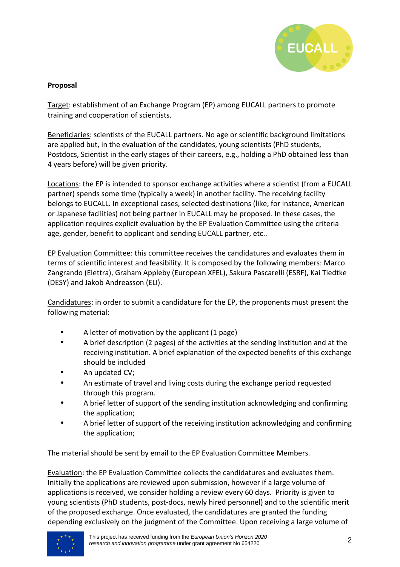

## **Proposal**

Target: establishment of an Exchange Program (EP) among EUCALL partners to promote training and cooperation of scientists.

Beneficiaries: scientists of the EUCALL partners. No age or scientific background limitations are applied but, in the evaluation of the candidates, young scientists (PhD students, Postdocs, Scientist in the early stages of their careers, e.g., holding a PhD obtained less than 4 years before) will be given priority.

Locations: the EP is intended to sponsor exchange activities where a scientist (from a EUCALL partner) spends some time (typically a week) in another facility. The receiving facility belongs to EUCALL. In exceptional cases, selected destinations (like, for instance, American or Japanese facilities) not being partner in EUCALL may be proposed. In these cases, the application requires explicit evaluation by the EP Evaluation Committee using the criteria age, gender, benefit to applicant and sending EUCALL partner, etc..

EP Evaluation Committee: this committee receives the candidatures and evaluates them in terms of scientific interest and feasibility. It is composed by the following members: Marco Zangrando (Elettra), Graham Appleby (European XFEL), Sakura Pascarelli (ESRF), Kai Tiedtke (DESY) and Jakob Andreasson (ELI).

Candidatures: in order to submit a candidature for the EP, the proponents must present the following material:

- A letter of motivation by the applicant (1 page)
- A brief description (2 pages) of the activities at the sending institution and at the receiving institution. A brief explanation of the expected benefits of this exchange should be included
- An updated CV;
- An estimate of travel and living costs during the exchange period requested through this program.
- A brief letter of support of the sending institution acknowledging and confirming the application;
- A brief letter of support of the receiving institution acknowledging and confirming the application;

The material should be sent by email to the EP Evaluation Committee Members.

Evaluation: the EP Evaluation Committee collects the candidatures and evaluates them. Initially the applications are reviewed upon submission, however if a large volume of applications is received, we consider holding a review every 60 days. Priority is given to young scientists (PhD students, post-docs, newly hired personnel) and to the scientific merit of the proposed exchange. Once evaluated, the candidatures are granted the funding depending exclusively on the judgment of the Committee. Upon receiving a large volume of